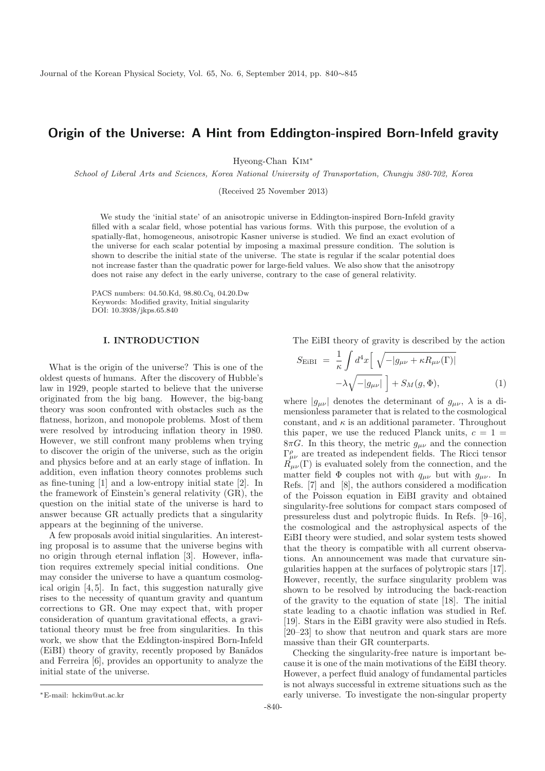# **Origin of the Universe: A Hint from Eddington-inspired Born-Infeld gravity**

Hyeong-Chan Kim<sup>∗</sup>

School of Liberal Arts and Sciences, Korea National University of Transportation, Chungju 380-702, Korea

(Received 25 November 2013)

We study the 'initial state' of an anisotropic universe in Eddington-inspired Born-Infeld gravity filled with a scalar field, whose potential has various forms. With this purpose, the evolution of a spatially-flat, homogeneous, anisotropic Kasner universe is studied. We find an exact evolution of the universe for each scalar potential by imposing a maximal pressure condition. The solution is shown to describe the initial state of the universe. The state is regular if the scalar potential does not increase faster than the quadratic power for large-field values. We also show that the anisotropy does not raise any defect in the early universe, contrary to the case of general relativity.

PACS numbers: 04.50.Kd, 98.80.Cq, 04.20.Dw Keywords: Modified gravity, Initial singularity DOI: 10.3938/jkps.65.840

# **I. INTRODUCTION**

What is the origin of the universe? This is one of the oldest quests of humans. After the discovery of Hubble's law in 1929, people started to believe that the universe originated from the big bang. However, the big-bang theory was soon confronted with obstacles such as the flatness, horizon, and monopole problems. Most of them were resolved by introducing inflation theory in 1980. However, we still confront many problems when trying to discover the origin of the universe, such as the origin and physics before and at an early stage of inflation. In addition, even inflation theory connotes problems such as fine-tuning [1] and a low-entropy initial state [2]. In the framework of Einstein's general relativity (GR), the question on the initial state of the universe is hard to answer because GR actually predicts that a singularity appears at the beginning of the universe.

A few proposals avoid initial singularities. An interesting proposal is to assume that the universe begins with no origin through eternal inflation [3]. However, inflation requires extremely special initial conditions. One may consider the universe to have a quantum cosmological origin [4, 5]. In fact, this suggestion naturally give rises to the necessity of quantum gravity and quantum corrections to GR. One may expect that, with proper consideration of quantum gravitational effects, a gravitational theory must be free from singularities. In this work, we show that the Eddington-inspired Born-Infeld (EiBI) theory of gravity, recently proposed by Ban˜ados and Ferreira [6], provides an opportunity to analyze the initial state of the universe.

$$
S_{\text{EiBI}} = \frac{1}{\kappa} \int d^4x \left[ \sqrt{-|g_{\mu\nu} + \kappa R_{\mu\nu}(\Gamma)|} -\lambda \sqrt{-|g_{\mu\nu}|} \right] + S_M(g, \Phi), \tag{1}
$$

where  $|g_{\mu\nu}|$  denotes the determinant of  $g_{\mu\nu}$ ,  $\lambda$  is a dimensionless parameter that is related to the cosmological constant, and  $\kappa$  is an additional parameter. Throughout this paper, we use the reduced Planck units,  $c = 1$  $8\pi G$ . In this theory, the metric  $g_{\mu\nu}$  and the connection  $\Gamma^{\rho}_{\mu\nu}$  are treated as independent fields. The Ricci tensor  $R_{\mu\nu}(\Gamma)$  is evaluated solely from the connection, and the matter field  $\Phi$  couples not with  $q_{\mu\nu}$  but with  $g_{\mu\nu}$ . In Refs. [7] and [8], the authors considered a modification of the Poisson equation in EiBI gravity and obtained singularity-free solutions for compact stars composed of pressureless dust and polytropic fluids. In Refs. [9–16], the cosmological and the astrophysical aspects of the EiBI theory were studied, and solar system tests showed that the theory is compatible with all current observations. An announcement was made that curvature singularities happen at the surfaces of polytropic stars [17]. However, recently, the surface singularity problem was shown to be resolved by introducing the back-reaction of the gravity to the equation of state [18]. The initial state leading to a chaotic inflation was studied in Ref. [19]. Stars in the EiBI gravity were also studied in Refs. [20–23] to show that neutron and quark stars are more massive than their GR counterparts.

Checking the singularity-free nature is important because it is one of the main motivations of the EiBI theory. However, a perfect fluid analogy of fundamental particles is not always successful in extreme situations such as the early universe. To investigate the non-singular property

The EiBI theory of gravity is described by the action

<sup>∗</sup>E-mail: hckim@ut.ac.kr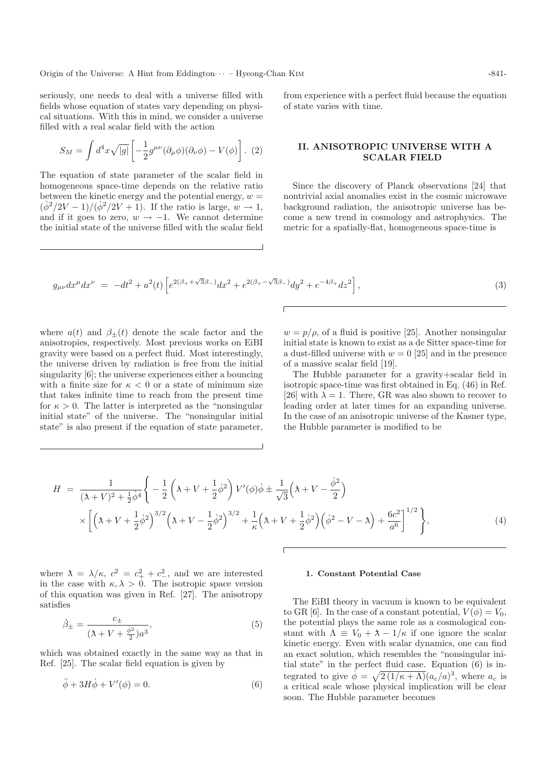seriously, one needs to deal with a universe filled with fields whose equation of states vary depending on physical situations. With this in mind, we consider a universe filled with a real scalar field with the action

$$
S_M = \int d^4x \sqrt{|g|} \left[ -\frac{1}{2} g^{\mu\nu} (\partial_\mu \phi)(\partial_\nu \phi) - V(\phi) \right]. (2)
$$

The equation of state parameter of the scalar field in homogeneous space-time depends on the relative ratio between the kinetic energy and the potential energy,  $w =$  $(\dot{\phi}^2/2V-1)/(\dot{\phi}^2/2V+1)$ . If the ratio is large,  $w \to 1$ , and if it goes to zero,  $w \rightarrow -1$ . We cannot determine the initial state of the universe filled with the scalar field

from experience with a perfect fluid because the equation of state varies with time.

# **II. ANISOTROPIC UNIVERSE WITH A SCALAR FIELD**

Since the discovery of Planck observations [24] that nontrivial axial anomalies exist in the cosmic microwave background radiation, the anisotropic universe has become a new trend in cosmology and astrophysics. The metric for a spatially-flat, homogeneous space-time is

$$
g_{\mu\nu}dx^{\mu}dx^{\nu} = -dt^2 + a^2(t)\left[e^{2(\beta_+ + \sqrt{3}\beta_-)}dx^2 + e^{2(\beta_+ - \sqrt{3}\beta_-)}dy^2 + e^{-4\beta_+}dz^2\right],\tag{3}
$$

where  $a(t)$  and  $\beta_{\pm}(t)$  denote the scale factor and the anisotropies, respectively. Most previous works on EiBI gravity were based on a perfect fluid. Most interestingly, the universe driven by radiation is free from the initial singularity [6]; the universe experiences either a bouncing with a finite size for  $\kappa < 0$  or a state of minimum size that takes infinite time to reach from the present time for  $\kappa > 0$ . The latter is interpreted as the "nonsingular" initial state" of the universe. The "nonsingular initial state" is also present if the equation of state parameter,

 $w = p/\rho$ , of a fluid is positive [25]. Another nonsingular initial state is known to exist as a de Sitter space-time for a dust-filled universe with  $w = 0$  [25] and in the presence of a massive scalar field [19].

The Hubble parameter for a gravity+scalar field in isotropic space-time was first obtained in Eq. (46) in Ref. [26] with  $\lambda = 1$ . There, GR was also shown to recover to leading order at later times for an expanding universe. In the case of an anisotropic universe of the Kasner type, the Hubble parameter is modified to be

$$
H = \frac{1}{(\lambda + V)^2 + \frac{1}{2}\dot{\phi}^4} \left\{ -\frac{1}{2} \left( \lambda + V + \frac{1}{2}\dot{\phi}^2 \right) V'(\phi) \dot{\phi} \pm \frac{1}{\sqrt{3}} \left( \lambda + V - \frac{\dot{\phi}^2}{2} \right) \times \left[ \left( \lambda + V + \frac{1}{2}\dot{\phi}^2 \right)^{3/2} \left( \lambda + V - \frac{1}{2}\dot{\phi}^2 \right)^{3/2} + \frac{1}{\kappa} \left( \lambda + V + \frac{1}{2}\dot{\phi}^2 \right) \left( \dot{\phi}^2 - V - \lambda \right) + \frac{6c^2}{a^6} \right]^{1/2} \right\},
$$
\n(4)

where  $\lambda = \lambda/\kappa$ ,  $c^2 = c_+^2 + c_-^2$ , and we are interested in the case with  $\kappa, \lambda > 0$ . The isotropic space version of this equation was given in Ref. [27]. The anisotropy satisfies

$$
\dot{\beta}_{\pm} = \frac{c_{\pm}}{(\lambda + V + \frac{\dot{\phi}^2}{2})a^3},\tag{5}
$$

which was obtained exactly in the same way as that in Ref. [25]. The scalar field equation is given by

$$
\ddot{\phi} + 3H\dot{\phi} + V'(\phi) = 0.
$$
\n(6)

#### **1. Constant Potential Case**

The EiBI theory in vacuum is known to be equivalent to GR [6]. In the case of a constant potential,  $V(\phi) = V_0$ , the potential plays the same role as a cosmological constant with  $\Lambda \equiv V_0 + \lambda - 1/\kappa$  if one ignore the scalar kinetic energy. Even with scalar dynamics, one can find an exact solution, which resembles the "nonsingular initial state" in the perfect fluid case. Equation (6) is integrated to give  $\dot{\phi} = \sqrt{2(1/\kappa + \Lambda)} (a_c/a)^3$ , where  $a_c$  is a critical scale whose physical implication will be clear soon. The Hubble parameter becomes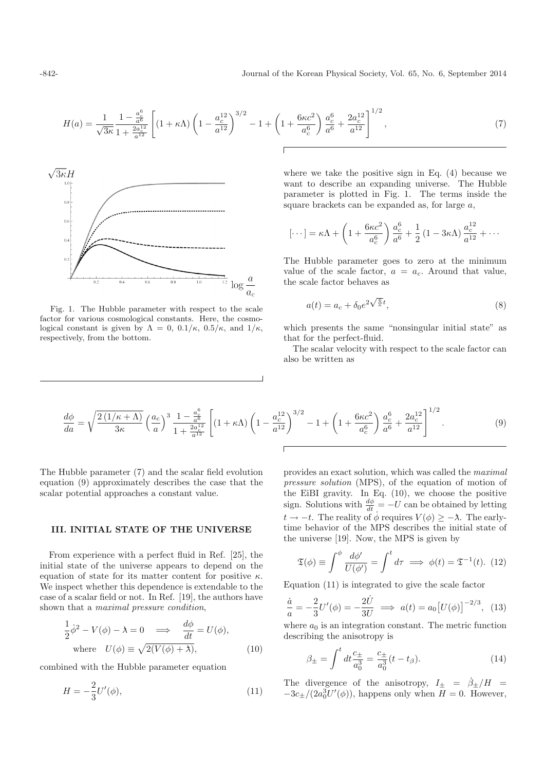$$
H(a) = \frac{1}{\sqrt{3\kappa}} \frac{1 - \frac{a_c^6}{a^6}}{1 + \frac{2a_c^{12}}{a^{12}}} \left[ (1 + \kappa \Lambda) \left( 1 - \frac{a_c^{12}}{a^{12}} \right)^{3/2} - 1 + \left( 1 + \frac{6\kappa c^2}{a_c^6} \right) \frac{a_c^6}{a^6} + \frac{2a_c^{12}}{a^{12}} \right]^{1/2},\tag{7}
$$



Fig. 1. The Hubble parameter with respect to the scale factor for various cosmological constants. Here, the cosmological constant is given by  $\Lambda = 0$ ,  $0.1/\kappa$ ,  $0.5/\kappa$ , and  $1/\kappa$ , respectively, from the bottom.

where we take the positive sign in Eq. (4) because we want to describe an expanding universe. The Hubble parameter is plotted in Fig. 1. The terms inside the square brackets can be expanded as, for large  $a$ ,

$$
[\cdots] = \kappa \Lambda + \left(1 + \frac{6\kappa c^2}{a_c^6}\right) \frac{a_c^6}{a^6} + \frac{1}{2} \left(1 - 3\kappa \Lambda\right) \frac{a_c^{12}}{a^{12}} + \cdots
$$

The Hubble parameter goes to zero at the minimum value of the scale factor,  $a = a_c$ . Around that value, the scale factor behaves as

$$
a(t) = a_c + \delta_0 e^{2\sqrt{\frac{6}{\kappa}}t},\tag{8}
$$

which presents the same "nonsingular initial state" as that for the perfect-fluid.

The scalar velocity with respect to the scale factor can also be written as

$$
\frac{d\phi}{da} = \sqrt{\frac{2\left(1/\kappa + \Lambda\right)}{3\kappa}} \left(\frac{a_c}{a}\right)^3 \frac{1 - \frac{a_c^6}{a^6}}{1 + \frac{2a_c^{12}}{a^{12}}}\left[ (1 + \kappa\Lambda) \left(1 - \frac{a_c^{12}}{a^{12}}\right)^{3/2} - 1 + \left(1 + \frac{6\kappa c^2}{a_c^6}\right) \frac{a_c^6}{a^6} + \frac{2a_c^{12}}{a^{12}}\right]^{1/2}.\tag{9}
$$

The Hubble parameter (7) and the scalar field evolution equation (9) approximately describes the case that the scalar potential approaches a constant value.

# **III. INITIAL STATE OF THE UNIVERSE**

From experience with a perfect fluid in Ref. [25], the initial state of the universe appears to depend on the equation of state for its matter content for positive  $\kappa$ . We inspect whether this dependence is extendable to the case of a scalar field or not. In Ref. [19], the authors have shown that a maximal pressure condition,

$$
\frac{1}{2}\dot{\phi}^2 - V(\phi) - \lambda = 0 \implies \frac{d\phi}{dt} = U(\phi),
$$
  
where  $U(\phi) \equiv \sqrt{2(V(\phi) + \lambda)},$  (10)

combined with the Hubble parameter equation

$$
H = -\frac{2}{3}U'(\phi),
$$
\n(11)

provides an exact solution, which was called the maximal pressure solution (MPS), of the equation of motion of the EiBI gravity. In Eq. (10), we choose the positive sign. Solutions with  $\frac{d\phi}{dt} = -U$  can be obtained by letting  $t \to -t$ . The reality of  $\dot{\phi}$  requires  $V(\phi) \geq -\lambda$ . The earlytime behavior of the MPS describes the initial state of the universe [19]. Now, the MPS is given by

$$
\mathfrak{T}(\phi) \equiv \int^{\phi} \frac{d\phi'}{U(\phi')} = \int^t d\tau \implies \phi(t) = \mathfrak{T}^{-1}(t). \tag{12}
$$

Equation (11) is integrated to give the scale factor

$$
\frac{\dot{a}}{a} = -\frac{2}{3}U'(\phi) = -\frac{2U}{3U} \implies a(t) = a_0 [U(\phi)]^{-2/3}, \tag{13}
$$

where  $a_0$  is an integration constant. The metric function describing the anisotropy is

$$
\beta_{\pm} = \int^{t} dt \frac{c_{\pm}}{a_0^3} = \frac{c_{\pm}}{a_0^3} (t - t_{\beta}). \tag{14}
$$

The divergence of the anisotropy,  $I_{\pm} = \dot{\beta}_{\pm}/H =$  $-3c_{\pm}/(2a_0^3U'(\phi))$ , happens only when  $H = 0$ . However,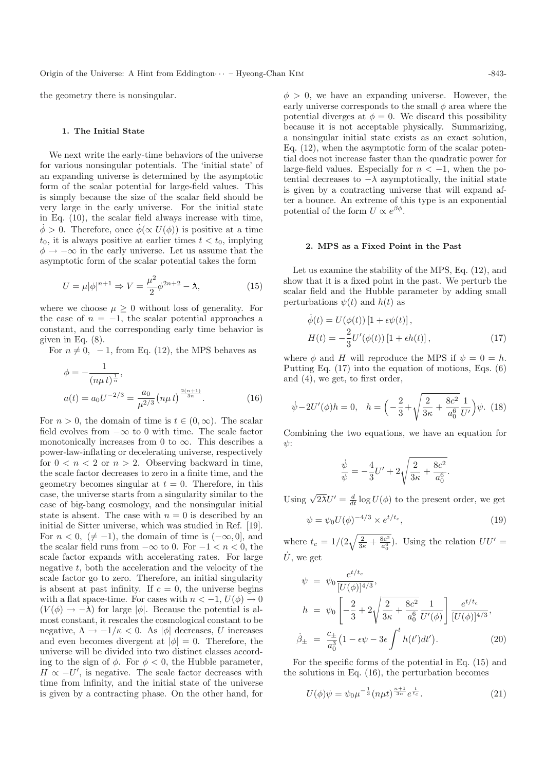the geometry there is nonsingular.

#### **1. The Initial State**

We next write the early-time behaviors of the universe for various nonsingular potentials. The 'initial state' of an expanding universe is determined by the asymptotic form of the scalar potential for large-field values. This is simply because the size of the scalar field should be very large in the early universe. For the initial state in Eq. (10), the scalar field always increase with time,  $\dot{\phi} > 0$ . Therefore, once  $\dot{\phi}(\propto U(\phi))$  is positive at a time  $t_0$ , it is always positive at earlier times  $t < t_0$ , implying  $\phi \rightarrow -\infty$  in the early universe. Let us assume that the asymptotic form of the scalar potential takes the form

$$
U = \mu |\phi|^{n+1} \Rightarrow V = \frac{\mu^2}{2} \phi^{2n+2} - \lambda,
$$
 (15)

where we choose  $\mu > 0$  without loss of generality. For the case of  $n = -1$ , the scalar potential approaches a constant, and the corresponding early time behavior is given in Eq.  $(8)$ .

For  $n \neq 0$ ,  $-1$ , from Eq. (12), the MPS behaves as

$$
\phi = -\frac{1}{(n\mu t)^{\frac{1}{n}}},
$$
  
\n
$$
a(t) = a_0 U^{-2/3} = \frac{a_0}{\mu^{2/3}} (n\mu t)^{\frac{2(n+1)}{3n}}.
$$
\n(16)

For  $n > 0$ , the domain of time is  $t \in (0, \infty)$ . The scalar field evolves from  $-\infty$  to 0 with time. The scale factor monotonically increases from 0 to  $\infty$ . This describes a power-law-inflating or decelerating universe, respectively for  $0 < n < 2$  or  $n > 2$ . Observing backward in time, the scale factor decreases to zero in a finite time, and the geometry becomes singular at  $t = 0$ . Therefore, in this case, the universe starts from a singularity similar to the case of big-bang cosmology, and the nonsingular initial state is absent. The case with  $n = 0$  is described by an initial de Sitter universe, which was studied in Ref. [19]. For  $n < 0, (\neq -1)$ , the domain of time is  $(-\infty, 0]$ , and the scalar field runs from  $-\infty$  to 0. For  $-1 < n < 0$ , the scale factor expands with accelerating rates. For large negative  $t$ , both the acceleration and the velocity of the scale factor go to zero. Therefore, an initial singularity is absent at past infinity. If  $c = 0$ , the universe begins with a flat space-time. For cases with  $n < -1$ ,  $U(\phi) \rightarrow 0$  $(V(\phi) \rightarrow -\lambda)$  for large  $|\phi|$ . Because the potential is almost constant, it rescales the cosmological constant to be negative,  $\Lambda \to -1/\kappa < 0$ . As  $|\phi|$  decreases, U increases and even becomes divergent at  $|\phi|=0$ . Therefore, the universe will be divided into two distinct classes according to the sign of  $\phi$ . For  $\phi < 0$ , the Hubble parameter,  $H \propto -U'$ , is negative. The scale factor decreases with time from infinity, and the initial state of the universe is given by a contracting phase. On the other hand, for

 $\phi > 0$ , we have an expanding universe. However, the early universe corresponds to the small  $\phi$  area where the potential diverges at  $\phi = 0$ . We discard this possibility because it is not acceptable physically. Summarizing, a nonsingular initial state exists as an exact solution, Eq. (12), when the asymptotic form of the scalar potential does not increase faster than the quadratic power for large-field values. Especially for  $n < -1$ , when the potential decreases to  $-\lambda$  asymptotically, the initial state is given by a contracting universe that will expand after a bounce. An extreme of this type is an exponential potential of the form  $U \propto e^{\beta \phi}$ .

### **2. MPS as a Fixed Point in the Past**

Let us examine the stability of the MPS, Eq. (12), and show that it is a fixed point in the past. We perturb the scalar field and the Hubble parameter by adding small perturbations  $\psi(t)$  and  $h(t)$  as

$$
\dot{\phi}(t) = U(\phi(t)) [1 + \epsilon \psi(t)],
$$
  
\n
$$
H(t) = -\frac{2}{3} U'(\phi(t)) [1 + \epsilon h(t)],
$$
\n(17)

where  $\phi$  and H will reproduce the MPS if  $\psi = 0 = h$ . Putting Eq. (17) into the equation of motions, Eqs. (6) and (4), we get, to first order,

$$
\dot{\psi} - 2U'(\phi)h = 0, \quad h = \left(-\frac{2}{3} + \sqrt{\frac{2}{3\kappa} + \frac{8c^2}{a_0^6}} \frac{1}{U'}\right)\psi. \tag{18}
$$

Combining the two equations, we have an equation for  $y$ :

$$
\frac{\dot{\psi}}{\psi} = -\frac{4}{3}U' + 2\sqrt{\frac{2}{3\kappa} + \frac{8c^2}{a_0^6}}.
$$

Using  $\sqrt{2\lambda}U' = \frac{d}{dt} \log U(\phi)$  to the present order, we get

$$
\psi = \psi_0 U(\phi)^{-4/3} \times e^{t/t_c},\tag{19}
$$

where  $t_c = 1/(2\sqrt{\frac{2}{3\kappa} + \frac{8c^2}{a_0^6}})$ . Using the relation  $UU'$  $\dot{U}$ , we get

$$
\psi = \psi_0 \frac{e^{t/t_c}}{[U(\phi)]^{4/3}},
$$
\n
$$
h = \psi_0 \left[ -\frac{2}{3} + 2\sqrt{\frac{2}{3\kappa} + \frac{8c^2}{a_0^6}} \frac{1}{U'(\phi)} \right] \frac{e^{t/t_c}}{[U(\phi)]^{4/3}},
$$
\n
$$
\dot{\beta}_{\pm} = \frac{c_{\pm}}{a_0^3} \left( 1 - \epsilon \psi - 3\epsilon \int_0^t h(t') dt' \right). \tag{20}
$$

For the specific forms of the potential in Eq. (15) and the solutions in Eq. (16), the perturbation becomes

$$
U(\phi)\psi = \psi_0 \mu^{-\frac{1}{3}} (n\mu t)^{\frac{n+1}{3n}} e^{\frac{t}{tc}}.
$$
 (21)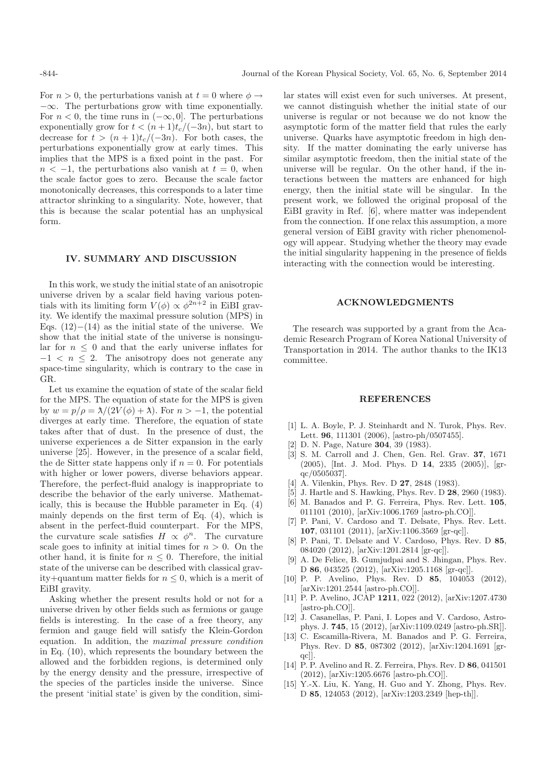For  $n > 0$ , the perturbations vanish at  $t = 0$  where  $\phi \rightarrow$  $-\infty$ . The perturbations grow with time exponentially. For  $n < 0$ , the time runs in  $(-\infty, 0]$ . The perturbations exponentially grow for  $t < (n+1)t_c/(-3n)$ , but start to decrease for  $t > (n+1)t_c/(-3n)$ . For both cases, the perturbations exponentially grow at early times. This implies that the MPS is a fixed point in the past. For  $n < -1$ , the perturbations also vanish at  $t = 0$ , when the scale factor goes to zero. Because the scale factor monotonically decreases, this corresponds to a later time attractor shrinking to a singularity. Note, however, that this is because the scalar potential has an unphysical form.

### **IV. SUMMARY AND DISCUSSION**

In this work, we study the initial state of an anisotropic universe driven by a scalar field having various potentials with its limiting form  $V(\phi) \propto \phi^{2n+2}$  in EiBI gravity. We identify the maximal pressure solution (MPS) in Eqs.  $(12)–(14)$  as the initial state of the universe. We show that the initial state of the universe is nonsingular for  $n \leq 0$  and that the early universe inflates for  $-1$  <  $n \leq 2$ . The anisotropy does not generate any space-time singularity, which is contrary to the case in GR.

Let us examine the equation of state of the scalar field for the MPS. The equation of state for the MPS is given by  $w = p/\rho = \lambda/(2V(\phi) + \lambda)$ . For  $n > -1$ , the potential diverges at early time. Therefore, the equation of state takes after that of dust. In the presence of dust, the universe experiences a de Sitter expansion in the early universe [25]. However, in the presence of a scalar field, the de Sitter state happens only if  $n = 0$ . For potentials with higher or lower powers, diverse behaviors appear. Therefore, the perfect-fluid analogy is inappropriate to describe the behavior of the early universe. Mathematically, this is because the Hubble parameter in Eq. (4) mainly depends on the first term of Eq. (4), which is absent in the perfect-fluid counterpart. For the MPS, the curvature scale satisfies  $H \propto \phi^n$ . The curvature scale goes to infinity at initial times for  $n > 0$ . On the other hand, it is finite for  $n \leq 0$ . Therefore, the initial state of the universe can be described with classical gravity+quantum matter fields for  $n \leq 0$ , which is a merit of EiBI gravity.

Asking whether the present results hold or not for a universe driven by other fields such as fermions or gauge fields is interesting. In the case of a free theory, any fermion and gauge field will satisfy the Klein-Gordon equation. In addition, the maximal pressure condition in Eq. (10), which represents the boundary between the allowed and the forbidden regions, is determined only by the energy density and the pressure, irrespective of the species of the particles inside the universe. Since the present 'initial state' is given by the condition, similar states will exist even for such universes. At present, we cannot distinguish whether the initial state of our universe is regular or not because we do not know the asymptotic form of the matter field that rules the early universe. Quarks have asymptotic freedom in high density. If the matter dominating the early universe has similar asymptotic freedom, then the initial state of the universe will be regular. On the other hand, if the interactions between the matters are enhanced for high energy, then the initial state will be singular. In the present work, we followed the original proposal of the EiBI gravity in Ref. [6], where matter was independent from the connection. If one relax this assumption, a more general version of EiBI gravity with richer phenomenology will appear. Studying whether the theory may evade the initial singularity happening in the presence of fields interacting with the connection would be interesting.

#### **ACKNOWLEDGMENTS**

The research was supported by a grant from the Academic Research Program of Korea National University of Transportation in 2014. The author thanks to the IK13 committee.

### **REFERENCES**

- [1] L. A. Boyle, P. J. Steinhardt and N. Turok, Phys. Rev. Lett. **96**, 111301 (2006), [astro-ph/0507455].
- [2] D. N. Page, Nature **304**, 39 (1983).
- [3] S. M. Carroll and J. Chen, Gen. Rel. Grav. **37**, 1671 (2005), [Int. J. Mod. Phys. D **14**, 2335 (2005)], [grqc/0505037].
- [4] A. Vilenkin, Phys. Rev. D **27**, 2848 (1983).
- [5] J. Hartle and S. Hawking, Phys. Rev. D **28**, 2960 (1983). [6] M. Banados and P. G. Ferreira, Phys. Rev. Lett. **105**,
- 011101 (2010), [arXiv:1006.1769 [astro-ph.CO]]. [7] P. Pani, V. Cardoso and T. Delsate, Phys. Rev. Lett. **107**, 031101 (2011), [arXiv:1106.3569 [gr-qc]].
- [8] P. Pani, T. Delsate and V. Cardoso, Phys. Rev. D **85**, 084020 (2012), [arXiv:1201.2814 [gr-qc]].
- [9] A. De Felice, B. Gumjudpai and S. Jhingan, Phys. Rev. D **86**, 043525 (2012), [arXiv:1205.1168 [gr-qc]].
- [10] P. P. Avelino, Phys. Rev. D **85**, 104053 (2012), [arXiv:1201.2544 [astro-ph.CO]].
- [11] P. P. Avelino, JCAP **1211**, 022 (2012), [arXiv:1207.4730 [astro-ph.CO]].
- [12] J. Casanellas, P. Pani, I. Lopes and V. Cardoso, Astrophys. J. **745**, 15 (2012), [arXiv:1109.0249 [astro-ph.SR]].
- [13] C. Escamilla-Rivera, M. Banados and P. G. Ferreira, Phys. Rev. D **85**, 087302 (2012), [arXiv:1204.1691 [grqc]].
- [14] P. P. Avelino and R. Z. Ferreira, Phys. Rev. D **86**, 041501 (2012), [arXiv:1205.6676 [astro-ph.CO]].
- [15] Y.-X. Liu, K. Yang, H. Guo and Y. Zhong, Phys. Rev. D **85**, 124053 (2012), [arXiv:1203.2349 [hep-th]].